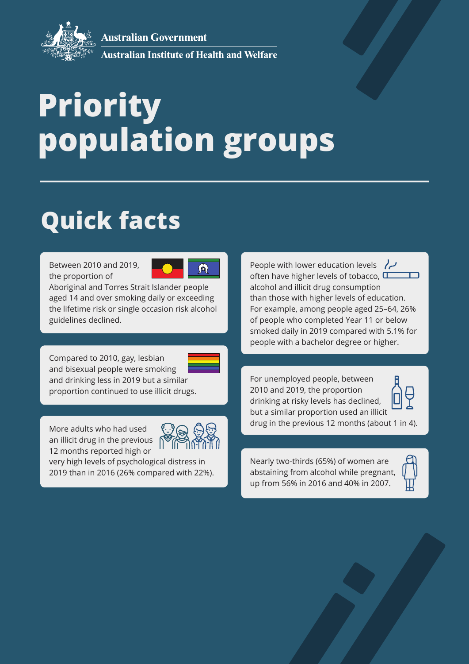**Australian Government** 



**Australian Institute of Health and Welfare** 

# **Priority population groups**

## **Quick facts**

Between 2010 and 2019, the proportion of



Aboriginal and Torres Strait Islander people aged 14 and over smoking daily or exceeding the lifetime risk or single occasion risk alcohol guidelines declined.

Compared to 2010, gay, lesbian and bisexual people were smoking and drinking less in 2019 but a similar proportion continued to use illicit drugs.

More adults who had used an illicit drug in the previous 12 months reported high or

very high levels of psychological distress in 2019 than in 2016 (26% compared with 22%). People with lower education levels  $\sqrt{2}$ often have higher levels of tobacco,  $\square$ alcohol and illicit drug consumption than those with higher levels of education. For example, among people aged 25–64, 26% of people who completed Year 11 or below smoked daily in 2019 compared with 5.1% for people with a bachelor degree or higher.

For unemployed people, between 2010 and 2019, the proportion drinking at risky levels has declined, but a similar proportion used an illicit drug in the previous 12 months (about 1 in 4).

Nearly two-thirds (65%) of women are abstaining from alcohol while pregnant, up from 56% in 2016 and 40% in 2007.

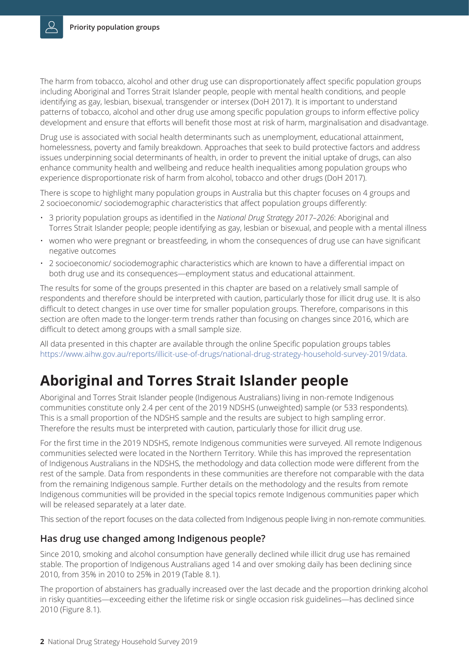The harm from tobacco, alcohol and other drug use can disproportionately affect specific population groups including Aboriginal and Torres Strait Islander people, people with mental health conditions, and people identifying as gay, lesbian, bisexual, transgender or intersex (DoH 2017). It is important to understand patterns of tobacco, alcohol and other drug use among specific population groups to inform effective policy development and ensure that efforts will benefit those most at risk of harm, marginalisation and disadvantage.

Drug use is associated with social health determinants such as unemployment, educational attainment, homelessness, poverty and family breakdown. Approaches that seek to build protective factors and address issues underpinning social determinants of health, in order to prevent the initial uptake of drugs, can also enhance community health and wellbeing and reduce health inequalities among population groups who experience disproportionate risk of harm from alcohol, tobacco and other drugs (DoH 2017).

There is scope to highlight many population groups in Australia but this chapter focuses on 4 groups and 2 socioeconomic/ sociodemographic characteristics that affect population groups differently:

- 3 priority population groups as identified in the *National Drug Strategy 2017–2026*: Aboriginal and Torres Strait Islander people; people identifying as gay, lesbian or bisexual, and people with a mental illness
- women who were pregnant or breastfeeding, in whom the consequences of drug use can have significant negative outcomes
- 2 socioeconomic/ sociodemographic characteristics which are known to have a differential impact on both drug use and its consequences—employment status and educational attainment.

The results for some of the groups presented in this chapter are based on a relatively small sample of respondents and therefore should be interpreted with caution, particularly those for illicit drug use. It is also difficult to detect changes in use over time for smaller population groups. Therefore, comparisons in this section are often made to the longer-term trends rather than focusing on changes since 2016, which are difficult to detect among groups with a small sample size.

All data presented in this chapter are available through the online Specific population groups tables https://www.aihw.gov.au/reports/illicit-use-of-drugs/national-drug-strategy-household-survey-2019/data.

## **Aboriginal and Torres Strait Islander people**

Aboriginal and Torres Strait Islander people (Indigenous Australians) living in non-remote Indigenous communities constitute only 2.4 per cent of the 2019 NDSHS (unweighted) sample (or 533 respondents). This is a small proportion of the NDSHS sample and the results are subject to high sampling error. Therefore the results must be interpreted with caution, particularly those for illicit drug use.

For the first time in the 2019 NDSHS, remote Indigenous communities were surveyed. All remote Indigenous communities selected were located in the Northern Territory. While this has improved the representation of Indigenous Australians in the NDSHS, the methodology and data collection mode were different from the rest of the sample. Data from respondents in these communities are therefore not comparable with the data from the remaining Indigenous sample. Further details on the methodology and the results from remote Indigenous communities will be provided in the special topics remote Indigenous communities paper which will be released separately at a later date.

This section of the report focuses on the data collected from Indigenous people living in non-remote communities.

#### **Has drug use changed among Indigenous people?**

Since 2010, smoking and alcohol consumption have generally declined while illicit drug use has remained stable. The proportion of Indigenous Australians aged 14 and over smoking daily has been declining since 2010, from 35% in 2010 to 25% in 2019 (Table 8.1).

The proportion of abstainers has gradually increased over the last decade and the proportion drinking alcohol in risky quantities—exceeding either the lifetime risk or single occasion risk guidelines—has declined since 2010 (Figure 8.1).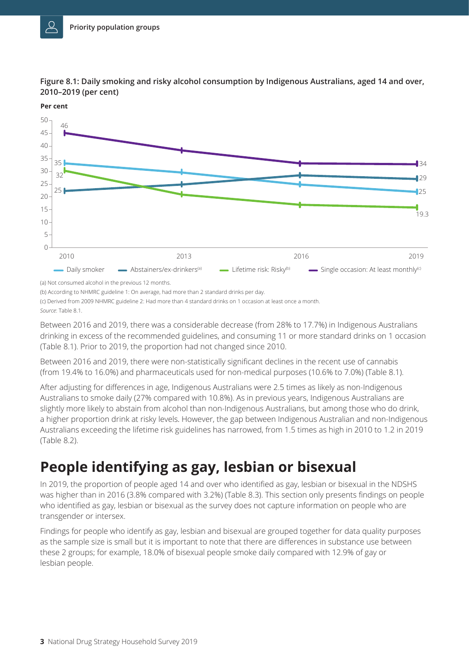

**Figure 8.1: Daily smoking and risky alcohol consumption by Indigenous Australians, aged 14 and over, 2010–2019 (per cent)**

**Per cent**

(a) Not consumed alcohol in the previous 12 months.

(b) According to NHMRC guideline 1: On average, had more than 2 standard drinks per day.

(c) Derived from 2009 NHMRC guideline 2: Had more than 4 standard drinks on 1 occasion at least once a month.

*Source*: Table 8.1.

Between 2016 and 2019, there was a considerable decrease (from 28% to 17.7%) in Indigenous Australians drinking in excess of the recommended guidelines, and consuming 11 or more standard drinks on 1 occasion (Table 8.1). Prior to 2019, the proportion had not changed since 2010.

Between 2016 and 2019, there were non-statistically significant declines in the recent use of cannabis (from 19.4% to 16.0%) and pharmaceuticals used for non-medical purposes (10.6% to 7.0%) (Table 8.1).

After adjusting for differences in age, Indigenous Australians were 2.5 times as likely as non-Indigenous Australians to smoke daily (27% compared with 10.8%). As in previous years, Indigenous Australians are slightly more likely to abstain from alcohol than non-Indigenous Australians, but among those who do drink, a higher proportion drink at risky levels. However, the gap between Indigenous Australian and non-Indigenous Australians exceeding the lifetime risk guidelines has narrowed, from 1.5 times as high in 2010 to 1.2 in 2019 (Table 8.2).

## **People identifying as gay, lesbian or bisexual**

In 2019, the proportion of people aged 14 and over who identified as gay, lesbian or bisexual in the NDSHS was higher than in 2016 (3.8% compared with 3.2%) (Table 8.3). This section only presents findings on people who identified as gay, lesbian or bisexual as the survey does not capture information on people who are transgender or intersex.

Findings for people who identify as gay, lesbian and bisexual are grouped together for data quality purposes as the sample size is small but it is important to note that there are differences in substance use between these 2 groups; for example, 18.0% of bisexual people smoke daily compared with 12.9% of gay or lesbian people.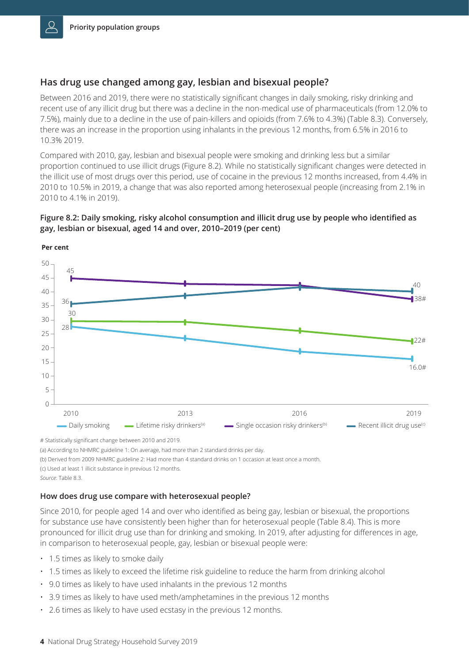#### **Has drug use changed among gay, lesbian and bisexual people?**

Between 2016 and 2019, there were no statistically significant changes in daily smoking, risky drinking and recent use of any illicit drug but there was a decline in the non-medical use of pharmaceuticals (from 12.0% to 7.5%), mainly due to a decline in the use of pain-killers and opioids (from 7.6% to 4.3%) (Table 8.3). Conversely, there was an increase in the proportion using inhalants in the previous 12 months, from 6.5% in 2016 to 10.3% 2019.

Compared with 2010, gay, lesbian and bisexual people were smoking and drinking less but a similar proportion continued to use illicit drugs (Figure 8.2). While no statistically significant changes were detected in the illicit use of most drugs over this period, use of cocaine in the previous 12 months increased, from 4.4% in 2010 to 10.5% in 2019, a change that was also reported among heterosexual people (increasing from 2.1% in 2010 to 4.1% in 2019).

#### **Figure 8.2: Daily smoking, risky alcohol consumption and illicit drug use by people who identified as gay, lesbian or bisexual, aged 14 and over, 2010–2019 (per cent)**



**Per cent**

# Statistically significant change between 2010 and 2019.

(a) According to NHMRC guideline 1: On average, had more than 2 standard drinks per day.

(b) Derived from 2009 NHMRC guideline 2: Had more than 4 standard drinks on 1 occasion at least once a month.

(c) Used at least 1 illicit substance in previous 12 months.

#### **How does drug use compare with heterosexual people?**

Since 2010, for people aged 14 and over who identified as being gay, lesbian or bisexual, the proportions for substance use have consistently been higher than for heterosexual people (Table 8.4). This is more pronounced for illicit drug use than for drinking and smoking. In 2019, after adjusting for differences in age, in comparison to heterosexual people, gay, lesbian or bisexual people were:

- 1.5 times as likely to smoke daily
- 1.5 times as likely to exceed the lifetime risk guideline to reduce the harm from drinking alcohol
- 9.0 times as likely to have used inhalants in the previous 12 months
- 3.9 times as likely to have used meth/amphetamines in the previous 12 months
- 2.6 times as likely to have used ecstasy in the previous 12 months.

*Source*: Table 8.3.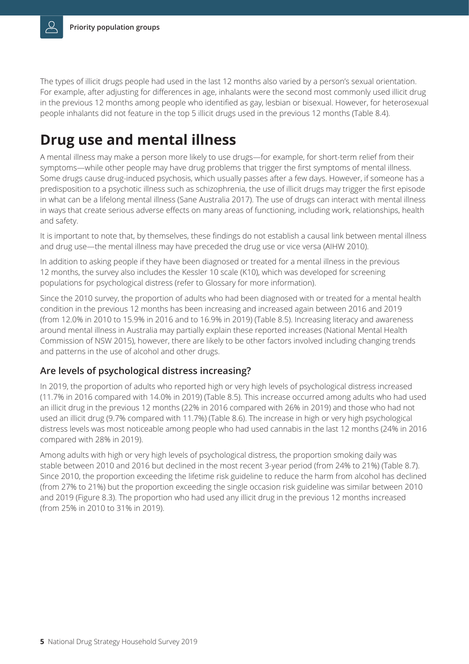The types of illicit drugs people had used in the last 12 months also varied by a person's sexual orientation. For example, after adjusting for differences in age, inhalants were the second most commonly used illicit drug in the previous 12 months among people who identified as gay, lesbian or bisexual. However, for heterosexual people inhalants did not feature in the top 5 illicit drugs used in the previous 12 months (Table 8.4).

## **Drug use and mental illness**

A mental illness may make a person more likely to use drugs—for example, for short-term relief from their symptoms—while other people may have drug problems that trigger the first symptoms of mental illness. Some drugs cause drug-induced psychosis, which usually passes after a few days. However, if someone has a predisposition to a psychotic illness such as schizophrenia, the use of illicit drugs may trigger the first episode in what can be a lifelong mental illness (Sane Australia 2017). The use of drugs can interact with mental illness in ways that create serious adverse effects on many areas of functioning, including work, relationships, health and safety.

It is important to note that, by themselves, these findings do not establish a causal link between mental illness and drug use—the mental illness may have preceded the drug use or vice versa (AIHW 2010).

In addition to asking people if they have been diagnosed or treated for a mental illness in the previous 12 months, the survey also includes the Kessler 10 scale (K10), which was developed for screening populations for psychological distress (refer to Glossary for more information).

Since the 2010 survey, the proportion of adults who had been diagnosed with or treated for a mental health condition in the previous 12 months has been increasing and increased again between 2016 and 2019 (from 12.0% in 2010 to 15.9% in 2016 and to 16.9% in 2019) (Table 8.5). Increasing literacy and awareness around mental illness in Australia may partially explain these reported increases (National Mental Health Commission of NSW 2015), however, there are likely to be other factors involved including changing trends and patterns in the use of alcohol and other drugs.

#### **Are levels of psychological distress increasing?**

In 2019, the proportion of adults who reported high or very high levels of psychological distress increased (11.7% in 2016 compared with 14.0% in 2019) (Table 8.5). This increase occurred among adults who had used an illicit drug in the previous 12 months (22% in 2016 compared with 26% in 2019) and those who had not used an illicit drug (9.7% compared with 11.7%) (Table 8.6). The increase in high or very high psychological distress levels was most noticeable among people who had used cannabis in the last 12 months (24% in 2016 compared with 28% in 2019).

Among adults with high or very high levels of psychological distress, the proportion smoking daily was stable between 2010 and 2016 but declined in the most recent 3-year period (from 24% to 21%) (Table 8.7). Since 2010, the proportion exceeding the lifetime risk guideline to reduce the harm from alcohol has declined (from 27% to 21%) but the proportion exceeding the single occasion risk guideline was similar between 2010 and 2019 (Figure 8.3). The proportion who had used any illicit drug in the previous 12 months increased (from 25% in 2010 to 31% in 2019).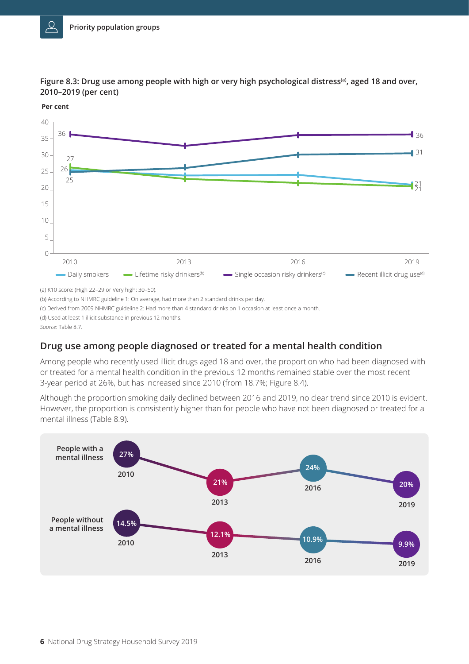

**Figure 8.3: Drug use among people with high or very high psychological distress(a), aged 18 and over, 2010–2019 (per cent)** 



(a) K10 score: (High 22–29 or Very high: 30–50).

(b) According to NHMRC guideline 1: On average, had more than 2 standard drinks per day.

(c) Derived from 2009 NHMRC guideline 2: Had more than 4 standard drinks on 1 occasion at least once a month.

(d) Used at least 1 illicit substance in previous 12 months.

*Source*: Table 8.7.

#### **Drug use among people diagnosed or treated for a mental health condition**

Among people who recently used illicit drugs aged 18 and over, the proportion who had been diagnosed with or treated for a mental health condition in the previous 12 months remained stable over the most recent 3-year period at 26%, but has increased since 2010 (from 18.7%; Figure 8.4).

Although the proportion smoking daily declined between 2016 and 2019, no clear trend since 2010 is evident. However, the proportion is consistently higher than for people who have not been diagnosed or treated for a mental illness (Table 8.9).

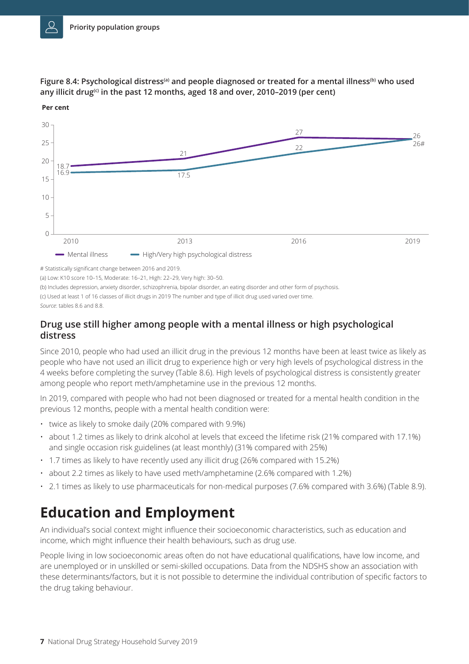

**Figure 8.4: Psychological distress(a) and people diagnosed or treated for a mental illness(b) who used any illicit drug(c) in the past 12 months, aged 18 and over, 2010–2019 (per cent)** 

**Per cent**

(a) Low: K10 score 10–15, Moderate: 16–21, High: 22–29, Very high: 30–50.

(b) Includes depression, anxiety disorder, schizophrenia, bipolar disorder, an eating disorder and other form of psychosis.

(c) Used at least 1 of 16 classes of illicit drugs in 2019 The number and type of illicit drug used varied over time.

*Source*: tables 8.6 and 8.8.

#### **Drug use still higher among people with a mental illness or high psychological distress**

Since 2010, people who had used an illicit drug in the previous 12 months have been at least twice as likely as people who have not used an illicit drug to experience high or very high levels of psychological distress in the 4 weeks before completing the survey (Table 8.6). High levels of psychological distress is consistently greater among people who report meth/amphetamine use in the previous 12 months.

In 2019, compared with people who had not been diagnosed or treated for a mental health condition in the previous 12 months, people with a mental health condition were:

- twice as likely to smoke daily (20% compared with 9.9%)
- about 1.2 times as likely to drink alcohol at levels that exceed the lifetime risk (21% compared with 17.1%) and single occasion risk guidelines (at least monthly) (31% compared with 25%)
- 1.7 times as likely to have recently used any illicit drug (26% compared with 15.2%)
- about 2.2 times as likely to have used meth/amphetamine (2.6% compared with 1.2%)
- 2.1 times as likely to use pharmaceuticals for non-medical purposes (7.6% compared with 3.6%) (Table 8.9).

## **Education and Employment**

An individual's social context might influence their socioeconomic characteristics, such as education and income, which might influence their health behaviours, such as drug use.

People living in low socioeconomic areas often do not have educational qualifications, have low income, and are unemployed or in unskilled or semi-skilled occupations. Data from the NDSHS show an association with these determinants/factors, but it is not possible to determine the individual contribution of specific factors to the drug taking behaviour.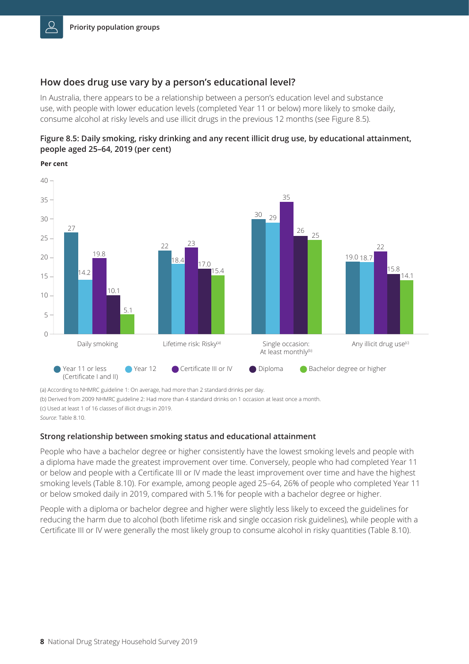#### **How does drug use vary by a person's educational level?**

In Australia, there appears to be a relationship between a person's education level and substance use, with people with lower education levels (completed Year 11 or below) more likely to smoke daily, consume alcohol at risky levels and use illicit drugs in the previous 12 months (see Figure 8.5).



**Per cent**



(a) According to NHMRC guideline 1: On average, had more than 2 standard drinks per day.

(b) Derived from 2009 NHMRC guideline 2: Had more than 4 standard drinks on 1 occasion at least once a month.

(c) Used at least 1 of 16 classes of illicit drugs in 2019.

*Source*: Table 8.10.

#### **Strong relationship between smoking status and educational attainment**

People who have a bachelor degree or higher consistently have the lowest smoking levels and people with a diploma have made the greatest improvement over time. Conversely, people who had completed Year 11 or below and people with a Certificate III or IV made the least improvement over time and have the highest smoking levels (Table 8.10). For example, among people aged 25–64, 26% of people who completed Year 11 or below smoked daily in 2019, compared with 5.1% for people with a bachelor degree or higher.

People with a diploma or bachelor degree and higher were slightly less likely to exceed the guidelines for reducing the harm due to alcohol (both lifetime risk and single occasion risk guidelines), while people with a Certificate III or IV were generally the most likely group to consume alcohol in risky quantities (Table 8.10).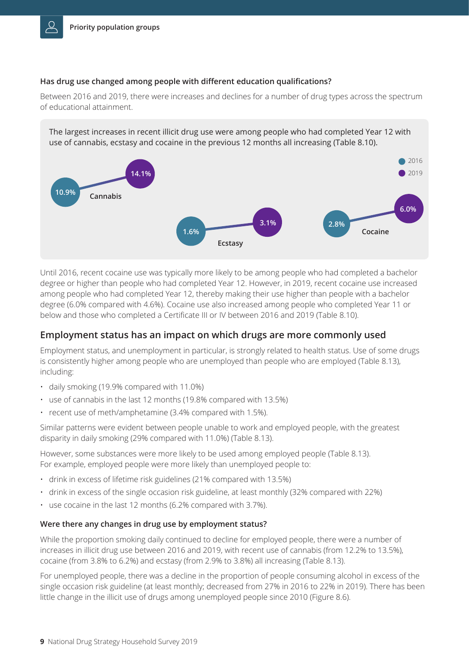#### **Has drug use changed among people with different education qualifications?**

Between 2016 and 2019, there were increases and declines for a number of drug types across the spectrum of educational attainment.

The largest increases in recent illicit drug use were among people who had completed Year 12 with use of cannabis, ecstasy and cocaine in the previous 12 months all increasing (Table 8.10).



Until 2016, recent cocaine use was typically more likely to be among people who had completed a bachelor degree or higher than people who had completed Year 12. However, in 2019, recent cocaine use increased among people who had completed Year 12, thereby making their use higher than people with a bachelor degree (6.0% compared with 4.6%). Cocaine use also increased among people who completed Year 11 or below and those who completed a Certificate III or IV between 2016 and 2019 (Table 8.10).

#### **Employment status has an impact on which drugs are more commonly used**

Employment status, and unemployment in particular, is strongly related to health status. Use of some drugs is consistently higher among people who are unemployed than people who are employed (Table 8.13), including:

- daily smoking (19.9% compared with 11.0%)
- use of cannabis in the last 12 months (19.8% compared with 13.5%)
- recent use of meth/amphetamine (3.4% compared with 1.5%).

Similar patterns were evident between people unable to work and employed people, with the greatest disparity in daily smoking (29% compared with 11.0%) (Table 8.13).

However, some substances were more likely to be used among employed people (Table 8.13). For example, employed people were more likely than unemployed people to:

- drink in excess of lifetime risk guidelines (21% compared with 13.5%)
- drink in excess of the single occasion risk guideline, at least monthly (32% compared with 22%)
- use cocaine in the last 12 months (6.2% compared with 3.7%).

#### **Were there any changes in drug use by employment status?**

While the proportion smoking daily continued to decline for employed people, there were a number of increases in illicit drug use between 2016 and 2019, with recent use of cannabis (from 12.2% to 13.5%), cocaine (from 3.8% to 6.2%) and ecstasy (from 2.9% to 3.8%) all increasing (Table 8.13).

For unemployed people, there was a decline in the proportion of people consuming alcohol in excess of the single occasion risk guideline (at least monthly; decreased from 27% in 2016 to 22% in 2019). There has been little change in the illicit use of drugs among unemployed people since 2010 (Figure 8.6).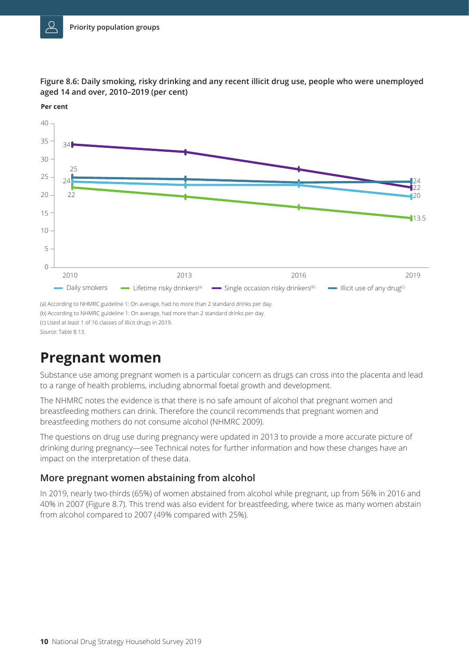



**Per cent**

### **Pregnant women**

Substance use among pregnant women is a particular concern as drugs can cross into the placenta and lead to a range of health problems, including abnormal foetal growth and development.

The NHMRC notes the evidence is that there is no safe amount of alcohol that pregnant women and breastfeeding mothers can drink. Therefore the council recommends that pregnant women and breastfeeding mothers do not consume alcohol (NHMRC 2009).

The questions on drug use during pregnancy were updated in 2013 to provide a more accurate picture of drinking during pregnancy—see Technical notes for further information and how these changes have an impact on the interpretation of these data.

#### **More pregnant women abstaining from alcohol**

In 2019, nearly two-thirds (65%) of women abstained from alcohol while pregnant, up from 56% in 2016 and 40% in 2007 (Figure 8.7). This trend was also evident for breastfeeding, where twice as many women abstain from alcohol compared to 2007 (49% compared with 25%).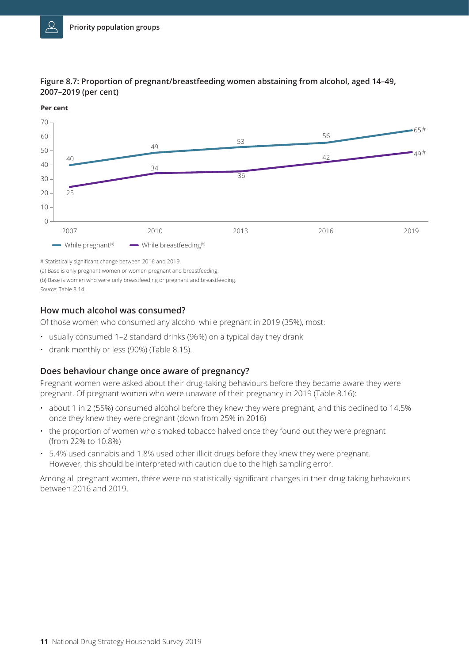

#### **Figure 8.7: Proportion of pregnant/breastfeeding women abstaining from alcohol, aged 14–49, 2007–2019 (per cent)**



(a) Base is only pregnant women or women pregnant and breastfeeding.

(b) Base is women who were only breastfeeding or pregnant and breastfeeding.

*Source*: Table 8.14.

#### **How much alcohol was consumed?**

Of those women who consumed any alcohol while pregnant in 2019 (35%), most:

- usually consumed 1–2 standard drinks (96%) on a typical day they drank
- drank monthly or less (90%) (Table 8.15).

#### **Does behaviour change once aware of pregnancy?**

Pregnant women were asked about their drug-taking behaviours before they became aware they were pregnant. Of pregnant women who were unaware of their pregnancy in 2019 (Table 8.16):

- about 1 in 2 (55%) consumed alcohol before they knew they were pregnant, and this declined to 14.5% once they knew they were pregnant (down from 25% in 2016)
- the proportion of women who smoked tobacco halved once they found out they were pregnant (from 22% to 10.8%)
- 5.4% used cannabis and 1.8% used other illicit drugs before they knew they were pregnant. However, this should be interpreted with caution due to the high sampling error.

Among all pregnant women, there were no statistically significant changes in their drug taking behaviours between 2016 and 2019.

<sup>#</sup> Statistically significant change between 2016 and 2019.